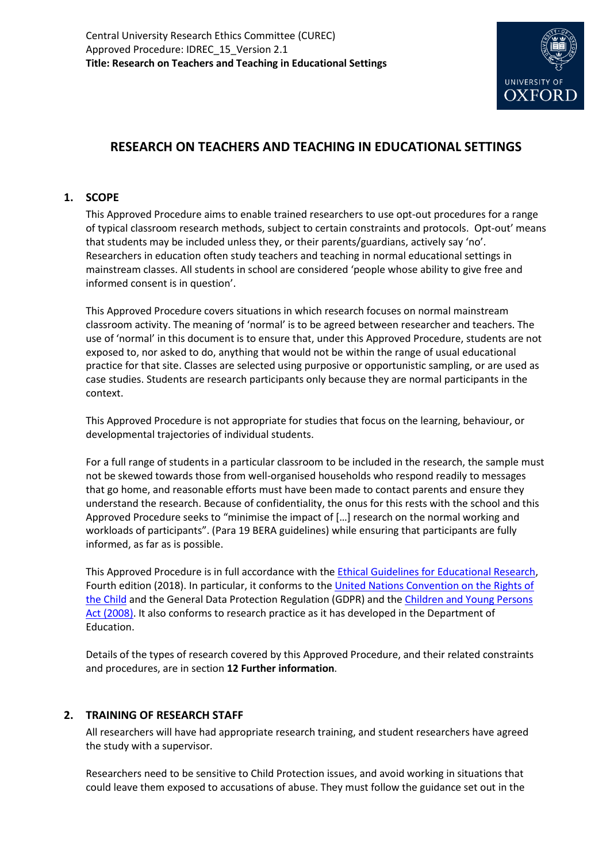

# **RESEARCH ON TEACHERS AND TEACHING IN EDUCATIONAL SETTINGS**

# **1. SCOPE**

This Approved Procedure aims to enable trained researchers to use opt-out procedures for a range of typical classroom research methods, subject to certain constraints and protocols. Opt-out' means that students may be included unless they, or their parents/guardians, actively say 'no'. Researchers in education often study teachers and teaching in normal educational settings in mainstream classes. All students in school are considered 'people whose ability to give free and informed consent is in question'.

This Approved Procedure covers situations in which research focuses on normal mainstream classroom activity. The meaning of 'normal' is to be agreed between researcher and teachers. The use of 'normal' in this document is to ensure that, under this Approved Procedure, students are not exposed to, nor asked to do, anything that would not be within the range of usual educational practice for that site. Classes are selected using purposive or opportunistic sampling, or are used as case studies. Students are research participants only because they are normal participants in the context.

This Approved Procedure is not appropriate for studies that focus on the learning, behaviour, or developmental trajectories of individual students.

For a full range of students in a particular classroom to be included in the research, the sample must not be skewed towards those from well-organised households who respond readily to messages that go home, and reasonable efforts must have been made to contact parents and ensure they understand the research. Because of confidentiality, the onus for this rests with the school and this Approved Procedure seeks to "minimise the impact of […] research on the normal working and workloads of participants". (Para 19 BERA guidelines) while ensuring that participants are fully informed, as far as is possible.

This Approved Procedure is in full accordance with th[e Ethical Guidelines for Educational Research,](https://www.bera.ac.uk/publication/ethical-guidelines-for-educational-research-2018) Fourth edition (2018). In particular, it conforms to th[e United Nations Convention on the Rights of](https://www.unicef.org.uk/what-we-do/un-convention-child-rights/)  [the Child](https://www.unicef.org.uk/what-we-do/un-convention-child-rights/) and the General Data Protection Regulation (GDPR) and the [Children and Young Persons](http://www.legislation.gov.uk/ukpga/2008/23/contents)  [Act \(2008\).](http://www.legislation.gov.uk/ukpga/2008/23/contents) It also conforms to research practice as it has developed in the Department of Education.

Details of the types of research covered by this Approved Procedure, and their related constraints and procedures, are in section **12 Further information**.

# **2. TRAINING OF RESEARCH STAFF**

All researchers will have had appropriate research training, and student researchers have agreed the study with a supervisor.

Researchers need to be sensitive to Child Protection issues, and avoid working in situations that could leave them exposed to accusations of abuse. They must follow the guidance set out in the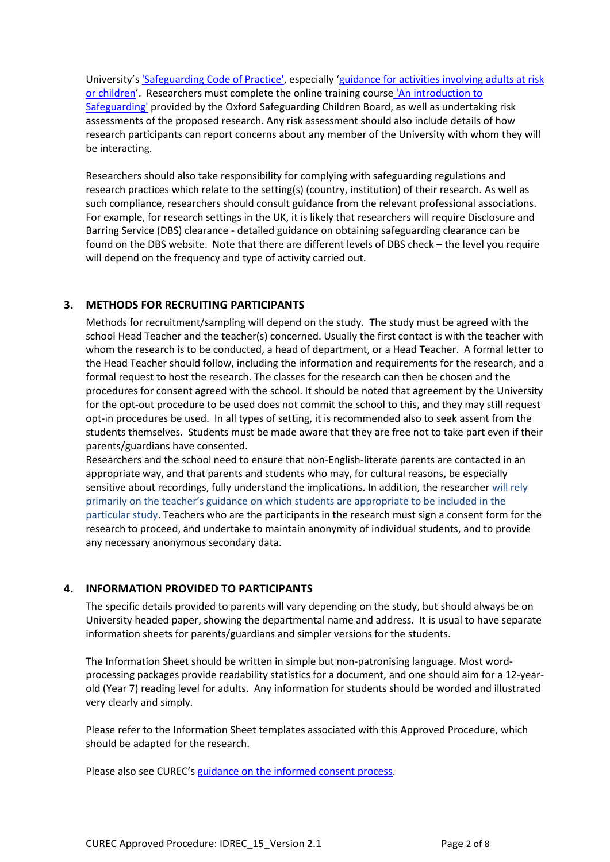University's ['Safeguarding Code of Practice',](https://www.admin.ox.ac.uk/personnel/cops/safeguarding/) especially '[guidance for activities involving adults at risk](https://www.admin.ox.ac.uk/personnel/cops/safeguarding/safeguide/)  [or children](https://www.admin.ox.ac.uk/personnel/cops/safeguarding/safeguide/)'. Researchers must complete the online training course ['An introduction to](https://hr.admin.ox.ac.uk/safeguarding-at-risk-adults-and-children#collapse1406916)  [Safeguarding'](https://hr.admin.ox.ac.uk/safeguarding-at-risk-adults-and-children#collapse1406916) provided by the Oxford Safeguarding Children Board, as well as undertaking risk assessments of the proposed research. Any risk assessment should also include details of how research participants can report concerns about any member of the University with whom they will be interacting.

Researchers should also take responsibility for complying with safeguarding regulations and research practices which relate to the setting(s) (country, institution) of their research. As well as such compliance, researchers should consult guidance from the relevant professional associations. For example, for research settings in the UK, it is likely that researchers will require Disclosure and Barring Service (DBS) clearance - detailed guidance on obtaining safeguarding clearance can be found on the [DBS website.](https://www.gov.uk/government/organisations/disclosure-and-barring-service) Note that there are different levels of DBS check – the level you require will depend on the frequency and type of activity carried out.

# **3. METHODS FOR RECRUITING PARTICIPANTS**

Methods for recruitment/sampling will depend on the study. The study must be agreed with the school Head Teacher and the teacher(s) concerned. Usually the first contact is with the teacher with whom the research is to be conducted, a head of department, or a Head Teacher. A formal letter to the Head Teacher should follow, including the information and requirements for the research, and a formal request to host the research. The classes for the research can then be chosen and the procedures for consent agreed with the school. It should be noted that agreement by the University for the opt-out procedure to be used does not commit the school to this, and they may still request opt-in procedures be used. In all types of setting, it is recommended also to seek assent from the students themselves. Students must be made aware that they are free not to take part even if their parents/guardians have consented.

Researchers and the school need to ensure that non-English-literate parents are contacted in an appropriate way, and that parents and students who may, for cultural reasons, be especially sensitive about recordings, fully understand the implications. In addition, the researcher will rely primarily on the teacher's guidance on which students are appropriate to be included in the particular study. Teachers who are the participants in the research must sign a consent form for the research to proceed, and undertake to maintain anonymity of individual students, and to provide any necessary anonymous secondary data.

# **4. INFORMATION PROVIDED TO PARTICIPANTS**

The specific details provided to parents will vary depending on the study, but should always be on University headed paper, showing the departmental name and address. It is usual to have separate information sheets for parents/guardians and simpler versions for the students.

The Information Sheet should be written in simple but non-patronising language. Most wordprocessing packages provide readability statistics for a document, and one should aim for a 12-yearold (Year 7) reading level for adults. Any information for students should be worded and illustrated very clearly and simply.

Please refer to the Information Sheet templates associated with this Approved Procedure, which should be adapted for the research.

Please also see CUREC's [guidance on the informed consent process.](http://researchsupport.admin.ox.ac.uk/governance/ethics/resources/consent)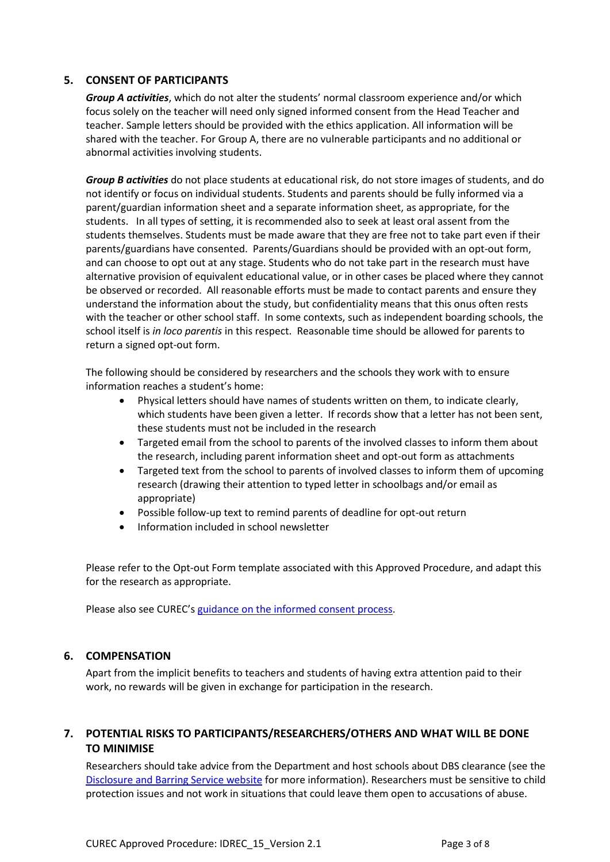## **5. CONSENT OF PARTICIPANTS**

*Group A activities*, which do not alter the students' normal classroom experience and/or which focus solely on the teacher will need only signed informed consent from the Head Teacher and teacher. Sample letters should be provided with the ethics application. All information will be shared with the teacher. For Group A, there are no vulnerable participants and no additional or abnormal activities involving students.

*Group B activities* do not place students at educational risk, do not store images of students, and do not identify or focus on individual students. Students and parents should be fully informed via a parent/guardian information sheet and a separate information sheet, as appropriate, for the students. In all types of setting, it is recommended also to seek at least oral assent from the students themselves. Students must be made aware that they are free not to take part even if their parents/guardians have consented. Parents/Guardians should be provided with an opt-out form, and can choose to opt out at any stage. Students who do not take part in the research must have alternative provision of equivalent educational value, or in other cases be placed where they cannot be observed or recorded. All reasonable efforts must be made to contact parents and ensure they understand the information about the study, but confidentiality means that this onus often rests with the teacher or other school staff. In some contexts, such as independent boarding schools, the school itself is *in loco parentis* in this respect. Reasonable time should be allowed for parents to return a signed opt-out form.

The following should be considered by researchers and the schools they work with to ensure information reaches a student's home:

- Physical letters should have names of students written on them, to indicate clearly, which students have been given a letter. If records show that a letter has not been sent, these students must not be included in the research
- Targeted email from the school to parents of the involved classes to inform them about the research, including parent information sheet and opt-out form as attachments
- Targeted text from the school to parents of involved classes to inform them of upcoming research (drawing their attention to typed letter in schoolbags and/or email as appropriate)
- Possible follow-up text to remind parents of deadline for opt-out return
- Information included in school newsletter

Please refer to the Opt-out Form template associated with this Approved Procedure, and adapt this for the research as appropriate.

Please also see CUREC's [guidance on the informed consent process.](http://researchsupport.admin.ox.ac.uk/governance/ethics/resources/consent)

# **6. COMPENSATION**

Apart from the implicit benefits to teachers and students of having extra attention paid to their work, no rewards will be given in exchange for participation in the research.

# **7. POTENTIAL RISKS TO PARTICIPANTS/RESEARCHERS/OTHERS AND WHAT WILL BE DONE TO MINIMISE**

Researchers should take advice from the Department and host schools about DBS clearance (see the [Disclosure and Barring Service website](https://www.gov.uk/disclosure-barring-service-check/overview) for more information). Researchers must be sensitive to child protection issues and not work in situations that could leave them open to accusations of abuse.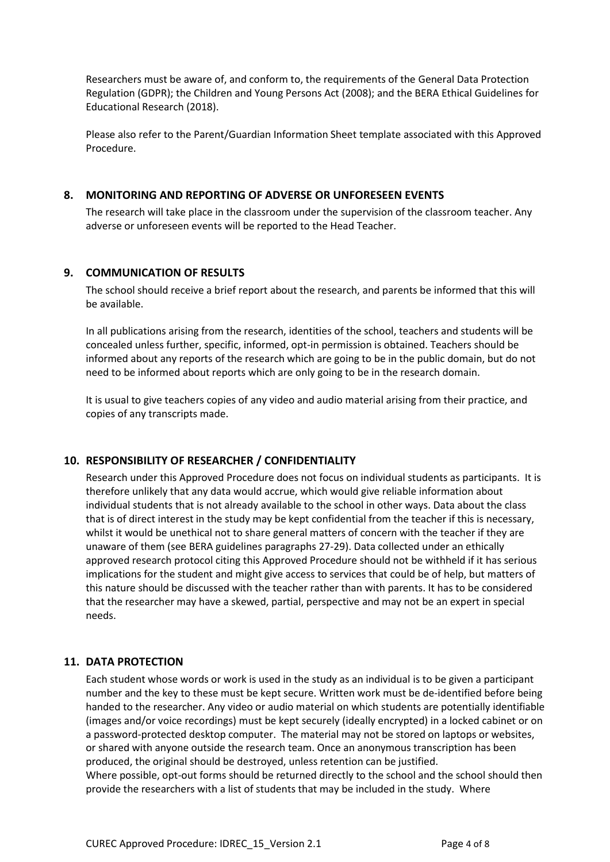Researchers must be aware of, and conform to, the requirements of the General Data Protection Regulation (GDPR); the Children and Young Persons Act (2008); and the BERA Ethical Guidelines for Educational Research (2018).

Please also refer to the Parent/Guardian Information Sheet template associated with this Approved Procedure.

## **8. MONITORING AND REPORTING OF ADVERSE OR UNFORESEEN EVENTS**

The research will take place in the classroom under the supervision of the classroom teacher. Any adverse or unforeseen events will be reported to the Head Teacher.

## **9. COMMUNICATION OF RESULTS**

The school should receive a brief report about the research, and parents be informed that this will be available.

In all publications arising from the research, identities of the school, teachers and students will be concealed unless further, specific, informed, opt-in permission is obtained. Teachers should be informed about any reports of the research which are going to be in the public domain, but do not need to be informed about reports which are only going to be in the research domain.

It is usual to give teachers copies of any video and audio material arising from their practice, and copies of any transcripts made.

# **10. RESPONSIBILITY OF RESEARCHER / CONFIDENTIALITY**

Research under this Approved Procedure does not focus on individual students as participants. It is therefore unlikely that any data would accrue, which would give reliable information about individual students that is not already available to the school in other ways. Data about the class that is of direct interest in the study may be kept confidential from the teacher if this is necessary, whilst it would be unethical not to share general matters of concern with the teacher if they are unaware of them (see BERA guidelines paragraphs 27-29). Data collected under an ethically approved research protocol citing this Approved Procedure should not be withheld if it has serious implications for the student and might give access to services that could be of help, but matters of this nature should be discussed with the teacher rather than with parents. It has to be considered that the researcher may have a skewed, partial, perspective and may not be an expert in special needs.

# **11. DATA PROTECTION**

Each student whose words or work is used in the study as an individual is to be given a participant number and the key to these must be kept secure. Written work must be de-identified before being handed to the researcher. Any video or audio material on which students are potentially identifiable (images and/or voice recordings) must be kept securely (ideally encrypted) in a locked cabinet or on a password-protected desktop computer. The material may not be stored on laptops or websites, or shared with anyone outside the research team. Once an anonymous transcription has been produced, the original should be destroyed, unless retention can be justified. Where possible, opt-out forms should be returned directly to the school and the school should then provide the researchers with a list of students that may be included in the study. Where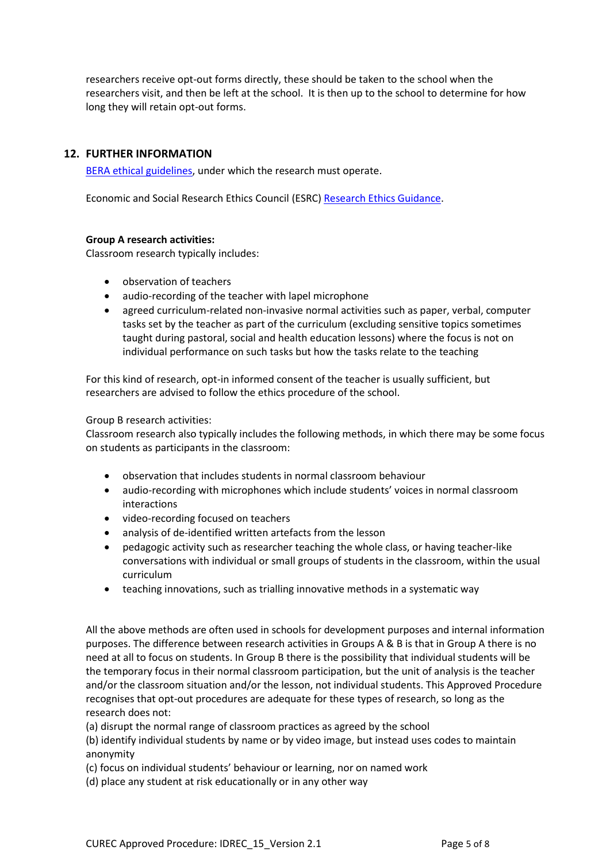researchers receive opt-out forms directly, these should be taken to the school when the researchers visit, and then be left at the school. It is then up to the school to determine for how long they will retain opt-out forms.

# **12. FURTHER INFORMATION**

[BERA ethical guidelines,](https://www.bera.ac.uk/publication/ethical-guidelines-for-educational-research-2018) under which the research must operate.

Economic and Social Research Ethics Council (ESRC) [Research Ethics Guidance.](https://esrc.ukri.org/funding/guidance-for-applicants/research-ethics/)

## **Group A research activities:**

Classroom research typically includes:

- observation of teachers
- audio-recording of the teacher with lapel microphone
- agreed curriculum-related non-invasive normal activities such as paper, verbal, computer tasks set by the teacher as part of the curriculum (excluding sensitive topics sometimes taught during pastoral, social and health education lessons) where the focus is not on individual performance on such tasks but how the tasks relate to the teaching

For this kind of research, opt-in informed consent of the teacher is usually sufficient, but researchers are advised to follow the ethics procedure of the school.

#### Group B research activities:

Classroom research also typically includes the following methods, in which there may be some focus on students as participants in the classroom:

- observation that includes students in normal classroom behaviour
- audio-recording with microphones which include students' voices in normal classroom interactions
- video-recording focused on teachers
- analysis of de-identified written artefacts from the lesson
- pedagogic activity such as researcher teaching the whole class, or having teacher-like conversations with individual or small groups of students in the classroom, within the usual curriculum
- teaching innovations, such as trialling innovative methods in a systematic way

All the above methods are often used in schools for development purposes and internal information purposes. The difference between research activities in Groups A & B is that in Group A there is no need at all to focus on students. In Group B there is the possibility that individual students will be the temporary focus in their normal classroom participation, but the unit of analysis is the teacher and/or the classroom situation and/or the lesson, not individual students. This Approved Procedure recognises that opt-out procedures are adequate for these types of research, so long as the research does not:

(a) disrupt the normal range of classroom practices as agreed by the school

(b) identify individual students by name or by video image, but instead uses codes to maintain anonymity

(c) focus on individual students' behaviour or learning, nor on named work

(d) place any student at risk educationally or in any other way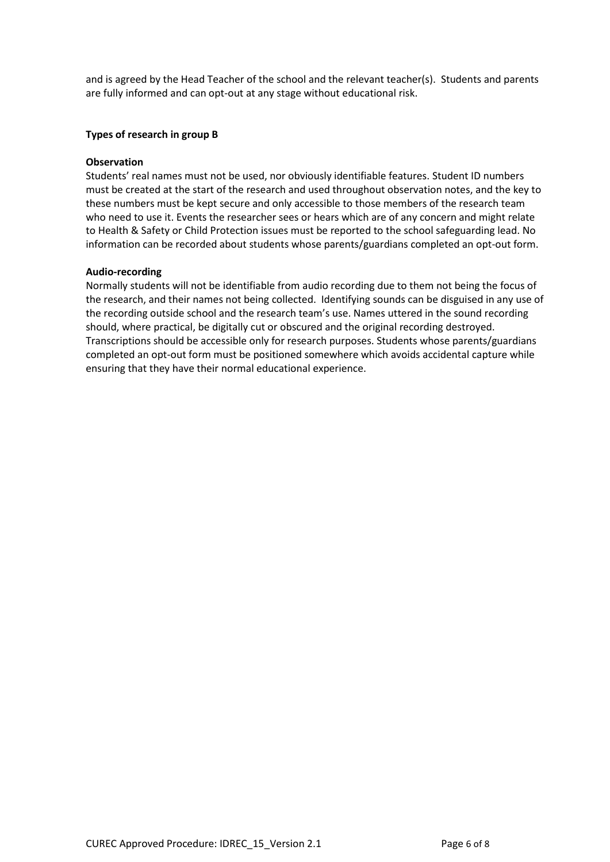and is agreed by the Head Teacher of the school and the relevant teacher(s). Students and parents are fully informed and can opt-out at any stage without educational risk.

#### **Types of research in group B**

#### **Observation**

Students' real names must not be used, nor obviously identifiable features. Student ID numbers must be created at the start of the research and used throughout observation notes, and the key to these numbers must be kept secure and only accessible to those members of the research team who need to use it. Events the researcher sees or hears which are of any concern and might relate to Health & Safety or Child Protection issues must be reported to the school safeguarding lead. No information can be recorded about students whose parents/guardians completed an opt-out form.

#### **Audio-recording**

Normally students will not be identifiable from audio recording due to them not being the focus of the research, and their names not being collected. Identifying sounds can be disguised in any use of the recording outside school and the research team's use. Names uttered in the sound recording should, where practical, be digitally cut or obscured and the original recording destroyed. Transcriptions should be accessible only for research purposes. Students whose parents/guardians completed an opt-out form must be positioned somewhere which avoids accidental capture while ensuring that they have their normal educational experience.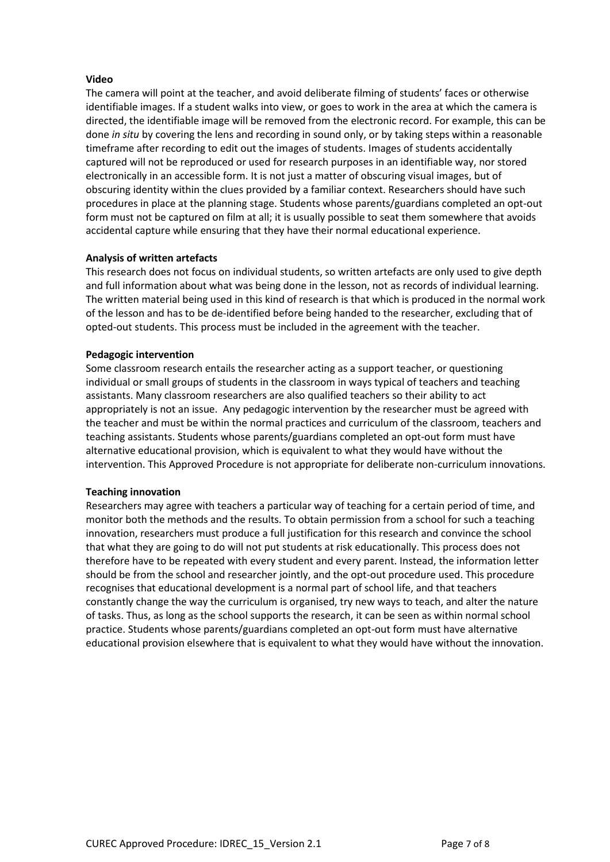## **Video**

The camera will point at the teacher, and avoid deliberate filming of students' faces or otherwise identifiable images. If a student walks into view, or goes to work in the area at which the camera is directed, the identifiable image will be removed from the electronic record. For example, this can be done *in situ* by covering the lens and recording in sound only, or by taking steps within a reasonable timeframe after recording to edit out the images of students. Images of students accidentally captured will not be reproduced or used for research purposes in an identifiable way, nor stored electronically in an accessible form. It is not just a matter of obscuring visual images, but of obscuring identity within the clues provided by a familiar context. Researchers should have such procedures in place at the planning stage. Students whose parents/guardians completed an opt-out form must not be captured on film at all; it is usually possible to seat them somewhere that avoids accidental capture while ensuring that they have their normal educational experience.

## **Analysis of written artefacts**

This research does not focus on individual students, so written artefacts are only used to give depth and full information about what was being done in the lesson, not as records of individual learning. The written material being used in this kind of research is that which is produced in the normal work of the lesson and has to be de-identified before being handed to the researcher, excluding that of opted-out students. This process must be included in the agreement with the teacher.

#### **Pedagogic intervention**

Some classroom research entails the researcher acting as a support teacher, or questioning individual or small groups of students in the classroom in ways typical of teachers and teaching assistants. Many classroom researchers are also qualified teachers so their ability to act appropriately is not an issue. Any pedagogic intervention by the researcher must be agreed with the teacher and must be within the normal practices and curriculum of the classroom, teachers and teaching assistants. Students whose parents/guardians completed an opt-out form must have alternative educational provision, which is equivalent to what they would have without the intervention. This Approved Procedure is not appropriate for deliberate non-curriculum innovations.

#### **Teaching innovation**

Researchers may agree with teachers a particular way of teaching for a certain period of time, and monitor both the methods and the results. To obtain permission from a school for such a teaching innovation, researchers must produce a full justification for this research and convince the school that what they are going to do will not put students at risk educationally. This process does not therefore have to be repeated with every student and every parent. Instead, the information letter should be from the school and researcher jointly, and the opt-out procedure used. This procedure recognises that educational development is a normal part of school life, and that teachers constantly change the way the curriculum is organised, try new ways to teach, and alter the nature of tasks. Thus, as long as the school supports the research, it can be seen as within normal school practice. Students whose parents/guardians completed an opt-out form must have alternative educational provision elsewhere that is equivalent to what they would have without the innovation.